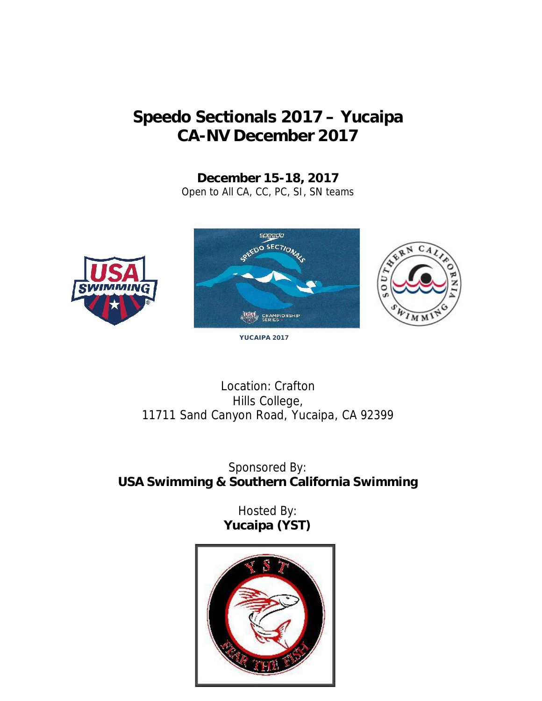# **Speedo Sectionals 2017 – Yucaipa CA-NV December 2017**

**December 15-18, 2017** Open to All CA, CC, PC, SI, SN teams







**YUCAIPA 2017**

Location: Crafton Hills College, 11711 Sand Canyon Road, Yucaipa, CA 92399

Sponsored By: **USA Swimming & Southern California Swimming**

> Hosted By: **Yucaipa (YST)**

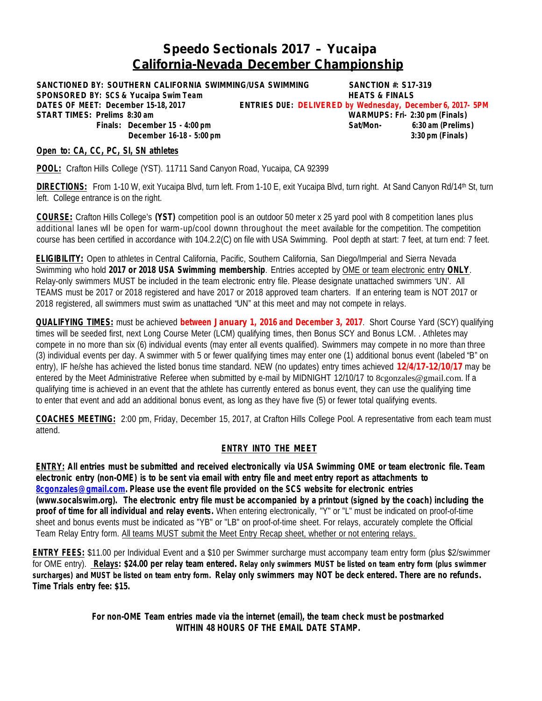## **Speedo Sectionals 2017 – Yucaipa California-Nevada December Championship**

**SANCTIONED BY: SOUTHERN CALIFORNIA SWIMMING/USA SWIMMING SANCTION #: S17-319 SPONSORED BY: SCS & Yucaipa Swim Team HEATS & FINALS DATES OF MEET: December 15-18, 2017 ENTRIES DUE:** *DELIVERED* **by Wednesday, December 6, 2017- 5PM START TIMES: Prelims 8:30 am WARMUPS: Fri- 2:30 pm (Finals) December 16-18 - 5:00 pm 3:30 pm (Finals)**

**Finals: December 15 - 4:00 pm Sat/Mon- 6:30 am (Prelims)**

**Open to: CA, CC, PC, SI, SN athletes**

**POOL:** Crafton Hills College (YST). 11711 Sand Canyon Road, Yucaipa, CA 92399

DIRECTIONS: From 1-10 W, exit Yucaipa Blvd, turn left. From 1-10 E, exit Yucaipa Blvd, turn right. At Sand Canyon Rd/14th St, turn left. College entrance is on the right.

**COURSE:** Crafton Hills College's **(YST)** competition pool is an outdoor 50 meter x 25 yard pool with 8 competition lanes plus additional lanes wil be open for warm-up/cool downn throughout the meet available for the competition. The competition course has been certified in accordance with 104.2.2(C) on file with USA Swimming. Pool depth at start: 7 feet, at turn end: 7 feet.

**ELIGIBILITY:** Open to athletes in Central California, Pacific, Southern California, San Diego/Imperial and Sierra Nevada Swimming who hold *2017 or 2018 USA Swimming membership*. Entries accepted by OME or team electronic entry **ONLY**. Relay-only swimmers MUST be included in the team electronic entry file. Please designate unattached swimmers 'UN'. All TEAMS must be 2017 or 2018 registered and have 2017 or 2018 approved team charters. If an entering team is NOT 2017 or 2018 registered, all swimmers must swim as unattached "UN" at this meet and may not compete in relays.

**QUALIFYING TIMES:** must be achieved **between January 1, 2016 and December 3, 2017**. Short Course Yard (SCY) qualifying times will be seeded first, next Long Course Meter (LCM) qualifying times, then Bonus SCY and Bonus LCM. . Athletes may compete in no more than six (6) individual events (may enter all events qualified). Swimmers may compete in no more than three (3) individual events per day. A swimmer with 5 or fewer qualifying times may enter one (1) additional bonus event (labeled "B" on entry), IF he/she has achieved the listed bonus time standard. NEW (no updates) entry times achieved **12/4/17-12/10/17** may be entered by the Meet Administrative Referee when submitted by e-mail by MIDNIGHT 12/10/17 to 8cgonzales@gmail.com. If a qualifying time is achieved in an event that the athlete has currently entered as bonus event, they can use the qualifying time to enter that event and add an additional bonus event, as long as they have five (5) or fewer total qualifying events.

**COACHES MEETING:** 2:00 pm,Friday, December 15, 2017, at Crafton Hills College Pool. A representative from each team must attend.

### **ENTRY INTO THE MEET**

ENTRY: All entries must be submitted and received electronically via USA Swimming OME or team electronic file. Team electronic entry (non-OME) is to be sent via email with entry file and meet entry report as attachments to **8cgonzales@gmail.com. Please use the event file provided on the SCS website for electronic entries** (www.socalswim.org). The electronic entry file must be accompanied by a printout (signed by the coach) including the **proof of time for all individual and relay events.** When entering electronically, "Y" or "L" must be indicated on proof-of-time sheet and bonus events must be indicated as "YB" or "LB" on proof-of-time sheet. For relays, accurately complete the Official Team Relay Entry form. All teams MUST submit the Meet Entry Recap sheet, whether or not entering relays.

**ENTRY FEES:** \$11.00 per Individual Event and a \$10 per Swimmer surcharge must accompany team entry form (plus \$2/swimmer for OME entry). Relays: \$24.00 per relay team entered. Relay only swimmers MUST be listed on team entry form (plus swimmer surcharges) and MUST be listed on team entry form. Relay only swimmers may NOT be deck entered. There are no refunds. **Time Trials entry fee: \$15.**

> **For non-OME Team entries made via the internet (email), the team check must be postmarked WITHIN 48 HOURS OF THE EMAIL DATE STAMP.**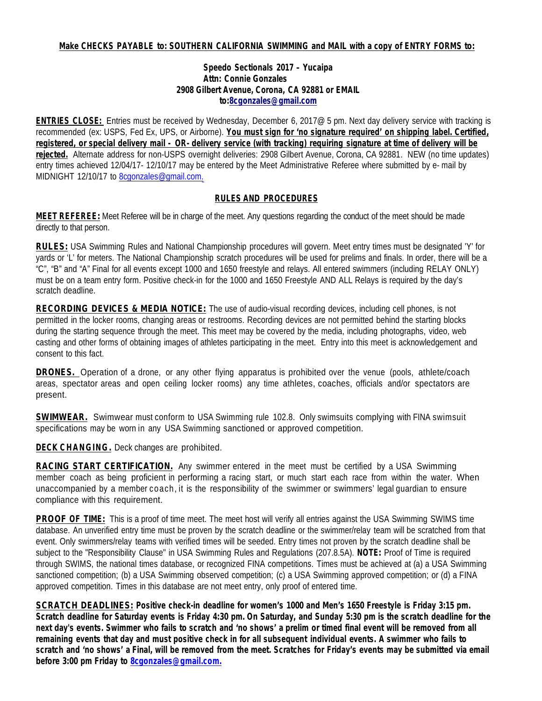### **Make CHECKS PAYABLE to: SOUTHERN CALIFORNIA SWIMMING and MAIL with a copy of ENTRY FORMS to:**

### **Speedo Sectionals 2017 – Yucaipa Attn: Connie Gonzales 2908 Gilbert Avenue, Corona, CA 92881 or EMAIL to:8cgonzales@gmail.com**

**ENTRIES CLOSE:** Entries must be received by Wednesday, December 6, 2017@ 5 pm. Next day delivery service with tracking is recommended (ex: USPS, Fed Ex, UPS, or Airborne). **You must sign for 'no signature required' on shipping label. Certified,** registered, or special delivery mail - OR- delivery service (with tracking) reguiring signature at time of delivery will be **rejected.** Alternate address for non-USPS overnight deliveries: 2908 Gilbert Avenue, Corona, CA 92881. NEW (no time updates) entry times achieved 12/04/17- 12/10/17 may be entered by the Meet Administrative Referee where submitted by e-mail by MIDNIGHT 12/10/17 to 8cgonzales@gmail.com.

### **RULES AND PROCEDURES**

**MEET REFEREE:** Meet Referee will be in charge of the meet. Any questions regarding the conduct of the meet should be made directly to that person.

**RULES:** USA Swimming Rules and National Championship procedures will govern. Meet entry times must be designated 'Y' for yards or 'L' for meters. The National Championship scratch procedures will be used for prelims and finals. In order, there will be a "C", "B" and "A" Final for all events except 1000 and 1650 freestyle and relays. All entered swimmers (including RELAY ONLY) must be on a team entry form. Positive check-in for the 1000 and 1650 Freestyle AND ALL Relays is required by the day's scratch deadline.

**RECORDING DEVICES & MEDIA NOTICE:** The use of audio-visual recording devices, including cell phones, is not permitted in the locker rooms, changing areas or restrooms. Recording devices are not permitted behind the starting blocks during the starting sequence through the meet. This meet may be covered by the media, including photographs, video, web casting and other forms of obtaining images of athletes participating in the meet. Entry into this meet is acknowledgement and consent to this fact.

**DRONES.** Operation of a drone, or any other flying apparatus is prohibited over the venue (pools, athlete/coach areas, spectator areas and open ceiling locker rooms) any time athletes, coaches, officials and/or spectators are present.

**SWIMWEAR.** Swimwear must conform to USA Swimming rule 102.8. Only swimsuits complying with FINA swimsuit specifications may be worn in any USA Swimming sanctioned or approved competition.

**DECK CHANGING.** Deck changes are prohibited.

**RACING START CERTIFICATION.** Any swimmer entered in the meet must be certified by a USA Swimming member coach as being proficient in performing a racing start, or much start each race from within the water. When unaccompanied by a member coach, it is the responsibility of the swimmer or swimmers' legal guardian to ensure compliance with this requirement.

**PROOF OF TIME:** This is a proof of time meet. The meet host will verify all entries against the USA Swimming SWIMS time database. An unverified entry time must be proven by the scratch deadline or the swimmer/relay team will be scratched from that event. Only swimmers/relay teams with verified times will be seeded. Entry times not proven by the scratch deadline shall be subject to the "Responsibility Clause" in USA Swimming Rules and Regulations (207.8.5A). **NOTE:** Proof of Time is required through SWIMS, the national times database, or recognized FINA competitions. Times must be achieved at (a) a USA Swimming sanctioned competition; (b) a USA Swimming observed competition; (c) a USA Swimming approved competition; or (d) a FINA approved competition. Times in this database are not meet entry, only proof of entered time.

**SCRATCH DEADLINES: Positive check-in deadline for women's 1000 and Men's 1650 Freestyle is Friday 3:15 pm.** Scratch deadline for Saturday events is Friday 4:30 pm. On Saturday, and Sunday 5:30 pm is the scratch deadline for the next day's events. Swimmer who fails to scratch and 'no shows' a prelim or timed final event will be removed from all remaining events that day and must positive check in for all subsequent individual events. A swimmer who fails to scratch and 'no shows' a Final, will be removed from the meet. Scratches for Friday's events may be submitted via email **before 3:00 pm Friday to 8cgonzales@gmail.com.**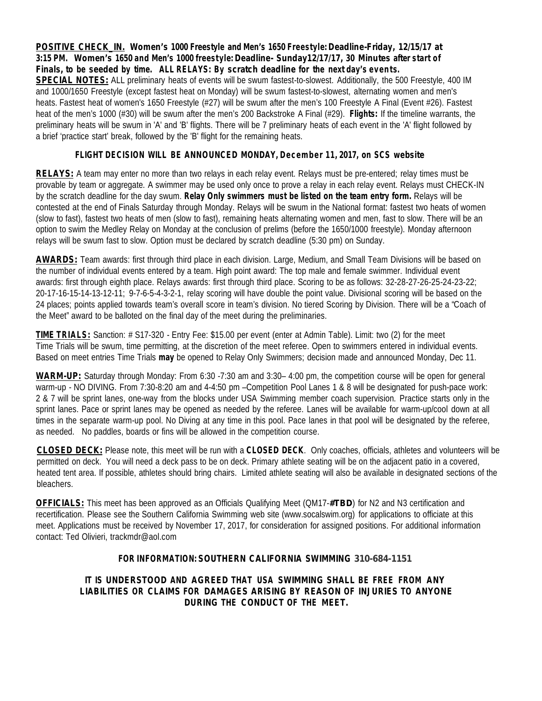**POSITIVE CHECK\_IN. Women's 1000 Freestyle and Men's 1650 Freestyle:Deadline-Friday, 12/15/17 at 3:15 PM. Women's 1650 and Men's 1000 freestyle: Deadline- Sunday12/17/17, 30 Minutes after start of Finals, to be seeded by time. ALL RELAYS: By scratch deadline for the next day's events. SPECIAL NOTES:** ALL preliminary heats of events will be swum fastest-to-slowest. Additionally, the 500 Freestyle, 400 IM and 1000/1650 Freestyle (except fastest heat on Monday) will be swum fastest-to-slowest, alternating women and men's heats. Fastest heat of women's 1650 Freestyle (#27) will be swum after the men's 100 Freestyle A Final (Event #26). Fastest heat of the men's 1000 (#30) will be swum after the men's 200 Backstroke A Final (#29). **Flights:** If the timeline warrants, the preliminary heats will be swum in 'A' and 'B' flights. There will be 7 preliminary heats of each event in the 'A' flight followed by a brief 'practice start' break, followed by the 'B' flight for the remaining heats.

*FLIGHT DECISION WILL BE ANNOUNCED MONDAY, December 11, 2017, on SCS website*

**RELAYS:** A team may enter no more than two relays in each relay event. Relays must be pre-entered; relay times must be provable by team or aggregate. A swimmer may be used only once to prove a relay in each relay event. Relays must CHECK-IN by the scratch deadline for the day swum. **Relay Only swimmers must be listed on the team entry form.** Relays will be contested at the end of Finals Saturday through Monday. Relays will be swum in the National format: fastest two heats of women (slow to fast), fastest two heats of men (slow to fast), remaining heats alternating women and men, fast to slow. There will be an option to swim the Medley Relay on Monday at the conclusion of prelims (before the 1650/1000 freestyle). Monday afternoon relays will be swum fast to slow. Option must be declared by scratch deadline (5:30 pm) on Sunday.

**AWARDS:** Team awards: first through third place in each division. Large, Medium, and Small Team Divisions will be based on the number of individual events entered by a team. High point award: The top male and female swimmer. Individual event awards: first through eighth place. Relays awards: first through third place. Scoring to be as follows: 32-28-27-26-25-24-23-22; 20-17-16-15-14-13-12-11; 9-7-6-5-4-3-2-1, relay scoring will have double the point value. Divisional scoring will be based on the 24 places; points applied towards team's overall score in team's division. No tiered Scoring by Division. There will be a "Coach of the Meet" award to be balloted on the final day of the meet during the preliminaries.

TIME TRIALS: Sanction: # S17-320 - Entry Fee: \$15.00 per event (enter at Admin Table). Limit: two (2) for the meet Time Trials will be swum, time permitting, at the discretion of the meet referee. Open to swimmers entered in individual events. Based on meet entries Time Trials **may** be opened to Relay Only Swimmers; decision made and announced Monday, Dec 11.

WARM-UP: Saturday through Monday: From 6:30 -7:30 am and 3:30– 4:00 pm, the competition course will be open for general warm-up - NO DIVING. From 7:30-8:20 am and 4-4:50 pm –Competition Pool Lanes 1 & 8 will be designated for push-pace work: 2 & 7 will be sprint lanes, one-way from the blocks under USA Swimming member coach supervision. Practice starts only in the sprint lanes. Pace or sprint lanes may be opened as needed by the referee. Lanes will be available for warm-up/cool down at all times in the separate warm-up pool. No Diving at any time in this pool. Pace lanes in that pool will be designated by the referee, as needed. No paddles, boards or fins will be allowed in the competition course.

**CLOSED DECK:** Please note, this meet will be run with a **CLOSED DECK**. Only coaches, officials, athletes and volunteers will be permitted on deck. You will need a deck pass to be on deck. Primary athlete seating will be on the adjacent patio in a covered, heated tent area. If possible, athletes should bring chairs. Limited athlete seating will also be available in designated sections of the bleachers.

**OFFICIALS:** This meet has been approved as an Officials Qualifying Meet (QM17-**#TBD**) for N2 and N3 certification and recertification. Please see the Southern California Swimming web site (www.socalswim.org) for applications to officiate at this meet. Applications must be received by November 17, 2017, for consideration forassigned positions. For additional information contact: Ted Olivieri, trackmdr@aol.com

### **FOR INFORMATION: SOUTHERN CALIFORNIA SWIMMING 310-684-1151**

*IT IS UNDERSTOOD AND AGREED THAT USA SWIMMING SHALL BE FREE FROM ANY LIABILITIES OR CLAIMS FOR DAMAGES ARISING BY REASON OF INJURIES TO ANYONE DURING THE CONDUCT OF THE MEET.*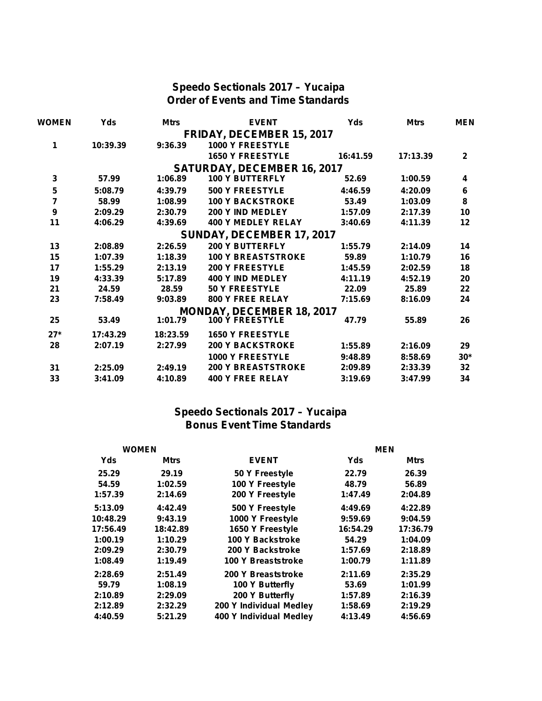### **Speedo Sectionals 2017 – Yucaipa Order of Events and Time Standards**

| <b>WOMEN</b>     | <b>Yds</b> | <b>Mtrs</b> | <b>EVENT</b>                     | Yds      | <b>Mtrs</b> | <b>MEN</b>   |  |
|------------------|------------|-------------|----------------------------------|----------|-------------|--------------|--|
|                  |            |             | <b>FRIDAY, DECEMBER 15, 2017</b> |          |             |              |  |
| 1                | 10:39.39   | 9:36.39     | <b>1000 Y FREESTYLE</b>          |          |             |              |  |
|                  |            |             | <b>1650 Y FREESTYLE</b>          | 16:41.59 | 17:13.39    | $\mathbf{2}$ |  |
|                  |            |             | SATURDAY, DECEMBER 16, 2017      |          |             |              |  |
| 3                | 57.99      | 1:06.89     | <b>100 Y BUTTERFLY</b>           | 52.69    | 1:00.59     | 4            |  |
| ${\bf 5}$        | 5:08.79    | 4:39.79     | 500 Y FREESTYLE                  | 4:46.59  | 4:20.09     | $\bf 6$      |  |
| $\overline{7}$   | 58.99      | 1:08.99     | <b>100 Y BACKSTROKE</b>          | 53.49    | 1:03.09     | $\bf 8$      |  |
| $\boldsymbol{9}$ | 2:09.29    | 2:30.79     | 200 Y IND MEDLEY                 | 1:57.09  | 2:17.39     | 10           |  |
| 11               | 4:06.29    | 4:39.69     | <b>400 Y MEDLEY RELAY</b>        | 3:40.69  | 4:11.39     | $12 \,$      |  |
|                  |            |             | SUNDAY, DECEMBER 17, 2017        |          |             |              |  |
| 13               | 2:08.89    | 2:26.59     | <b>200 Y BUTTERFLY</b>           | 1:55.79  | 2:14.09     | 14           |  |
| 15               | 1:07.39    | 1:18.39     | <b>100 Y BREASTSTROKE</b>        | 59.89    | 1:10.79     | 16           |  |
| 17               | 1:55.29    | 2:13.19     | <b>200 Y FREESTYLE</b>           | 1:45.59  | 2:02.59     | 18           |  |
| 19               | 4:33.39    | 5:17.89     | <b>400 Y IND MEDLEY</b>          | 4:11.19  | 4:52.19     | 20           |  |
| 21               | 24.59      | 28.59       | <b>50 Y FREESTYLE</b>            | 22.09    | 25.89       | 22           |  |
| 23               | 7:58.49    | 9:03.89     | 800 Y FREE RELAY                 | 7:15.69  | 8:16.09     | 24           |  |
|                  |            |             | <b>MONDAY, DECEMBER 18, 2017</b> |          |             |              |  |
| 25               | 53.49      | 1:01.79     | <b>100 Ý FREESTYLE</b>           | 47.79    | 55.89       | 26           |  |
| $27*$            | 17:43.29   | 18:23.59    | <b>1650 Y FREESTYLE</b>          |          |             |              |  |
| 28               | 2:07.19    | 2:27.99     | <b>200 Y BACKSTROKE</b>          | 1:55.89  | 2:16.09     | 29           |  |
|                  |            |             | <b>1000 Y FREESTYLE</b>          | 9:48.89  | 8:58.69     | $30*$        |  |
| 31               | 2:25.09    | 2:49.19     | <b>200 Y BREASTSTROKE</b>        | 2:09.89  | 2:33.39     | 32           |  |
| 33               | 3:41.09    | 4:10.89     | <b>400 Y FREE RELAY</b>          | 3:19.69  | 3:47.99     | 34           |  |

### **Speedo Sectionals 2017 – Yucaipa Bonus Event Time Standards**

| <b>WOMEN</b> |             | <b>MEN</b>              |          |          |  |
|--------------|-------------|-------------------------|----------|----------|--|
| Yds          | <b>Mtrs</b> | <b>EVENT</b>            | Yds      | Mtrs     |  |
| 25.29        | 29.19       | 50 Y Freestyle          | 22.79    | 26.39    |  |
| 54.59        | 1:02.59     | 100 Y Freestyle         | 48.79    | 56.89    |  |
| 1:57.39      | 2:14.69     | 200 Y Freestyle         | 1:47.49  | 2:04.89  |  |
| 5:13.09      | 4:42.49     | 500 Y Freestyle         | 4:49.69  | 4:22.89  |  |
| 10:48.29     | 9:43.19     | 1000 Y Freestyle        | 9:59.69  | 9:04.59  |  |
| 17:56.49     | 18:42.89    | 1650 Y Freestyle        | 16:54.29 | 17:36.79 |  |
| 1:00.19      | 1:10.29     | 100 Y Backstroke        | 54.29    | 1:04.09  |  |
| 2:09.29      | 2:30.79     | 200 Y Backstroke        | 1:57.69  | 2:18.89  |  |
| 1:08.49      | 1:19.49     | 100 Y Breaststroke      | 1:00.79  | 1:11.89  |  |
| 2:28.69      | 2:51.49     | 200 Y Breaststroke      | 2:11.69  | 2:35.29  |  |
| 59.79        | 1:08.19     | 100 Y Butterfly         | 53.69    | 1:01.99  |  |
| 2:10.89      | 2:29.09     | 200 Y Butterfly         | 1:57.89  | 2:16.39  |  |
| 2:12.89      | 2:32.29     | 200 Y Individual Medley | 1:58.69  | 2:19.29  |  |
| 4:40.59      | 5:21.29     | 400 Y Individual Medley | 4:13.49  | 4:56.69  |  |
|              |             |                         |          |          |  |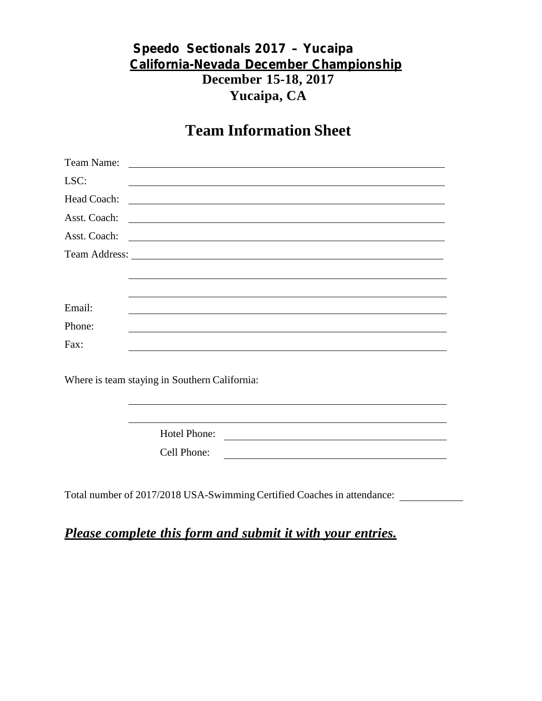## **Speedo Sectionals 2017 – Yucaipa California-Nevada December Championship December 15-18, 2017 Yucaipa, CA**

## **Team Information Sheet**

| Team Name:   |                                                                                                                                                                                                                                      |
|--------------|--------------------------------------------------------------------------------------------------------------------------------------------------------------------------------------------------------------------------------------|
| LSC:         |                                                                                                                                                                                                                                      |
| Head Coach:  | <u> Anglický architekt</u>                                                                                                                                                                                                           |
| Asst. Coach: |                                                                                                                                                                                                                                      |
| Asst. Coach: | <u> 1989 - Johann Stoff, deutscher Stoffen und der Stoffen und der Stoffen und der Stoffen und der Stoffen und der Stoffen und der Stoffen und der Stoffen und der Stoffen und der Stoffen und der Stoffen und der Stoffen und d</u> |
|              |                                                                                                                                                                                                                                      |
|              |                                                                                                                                                                                                                                      |
|              |                                                                                                                                                                                                                                      |
| Email:       |                                                                                                                                                                                                                                      |
| Phone:       |                                                                                                                                                                                                                                      |
| Fax:         |                                                                                                                                                                                                                                      |
|              |                                                                                                                                                                                                                                      |
|              | Where is team staying in Southern California:                                                                                                                                                                                        |
|              |                                                                                                                                                                                                                                      |
|              |                                                                                                                                                                                                                                      |
|              | Hotel Phone:                                                                                                                                                                                                                         |
|              | Cell Phone:                                                                                                                                                                                                                          |
|              |                                                                                                                                                                                                                                      |
|              |                                                                                                                                                                                                                                      |

Total number of 2017/2018 USA-Swimming Certified Coaches in attendance:

*Please complete this form and submit it with your entries.*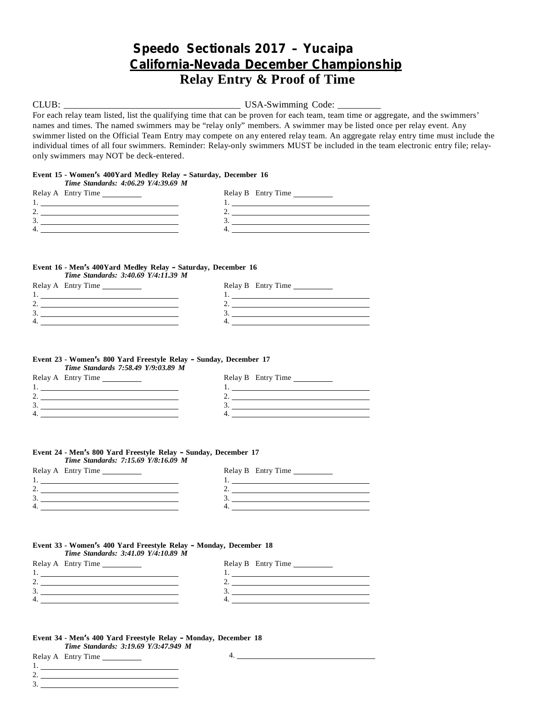## **Speedo Sectionals 2017 – Yucaipa California-Nevada December Championship Relay Entry & Proof of Time**

CLUB: \_\_\_\_\_\_\_\_\_\_\_\_\_\_\_\_\_\_\_\_\_\_\_\_\_\_\_\_\_\_\_\_\_\_\_\_\_ USA-Swimming Code: \_\_\_\_\_\_\_\_\_

For each relay team listed, list the qualifying time that can be proven for each team, team time or aggregate, and the swimmers' names and times. The named swimmers may be "relay only" members. A swimmer may be listed once per relay event. Any swimmer listed on the Official Team Entry may compete on any entered relay team. An aggregate relay entry time must include the individual times of all four swimmers. Reminder: Relay-only swimmers MUST be included in the team electronic entry file; relay only swimmers may NOT be deck-entered.

#### **Event 15 - Women's 400Yard Medley Relay – Saturday, December 16** *Time Standards: 4:06.29 Y/4:39.69 M*

| THILE DRUIRRUIG. 7.00.27 1/7.97.07 M |                    |
|--------------------------------------|--------------------|
| Relay A Entry Time                   | Relay B Entry Time |
|                                      |                    |
|                                      |                    |
|                                      |                    |
|                                      |                    |
|                                      |                    |

#### **Event 16 - Men's 400Yard Medley Relay – Saturday, December 16** *Time Standards: 3:40.69 Y/4:11.39 M*

| Relay A Entry Time | Relay B Entry Time |
|--------------------|--------------------|
|                    |                    |
| ٠.                 | <u>.</u>           |
| ◡                  |                    |
| 4                  |                    |
|                    |                    |

#### **Event 23 - Women's 800 Yard Freestyle Relay – Sunday, December 17** *Time Standards 7:58.49 Y/9:03.89 M*

| Relay A Entry Time |
|--------------------|
|                    |
|                    |
|                    |
|                    |
|                    |

| Relay B Entry Time |
|--------------------|
|                    |
|                    |
|                    |
|                    |
|                    |

#### **Event 24 - Men's 800 Yard Freestyle Relay – Sunday, December 17** *Time Standards: 7:15.69 Y/8:16.09 M*

| Relay A Entry Time | Relay B Entry Time |
|--------------------|--------------------|
|                    |                    |
|                    |                    |
| J                  |                    |
| 4                  |                    |
|                    |                    |

#### **Event 33 - Women's 400 Yard Freestyle Relay – Monday, December 18** *Time Standards: 3:41.09 Y/4:10.89 M*

| Relay A Entry Time | Relay B Entry Time |
|--------------------|--------------------|
|                    |                    |
|                    |                    |
|                    |                    |
| 4                  |                    |
|                    |                    |

### **Event 34 - Men's 400 Yard Freestyle Relay – Monday, December 18** *Time Standards: 3:19.69 Y/3:47.949 M*

Relay A Entry Time

4.

1. 2. 3.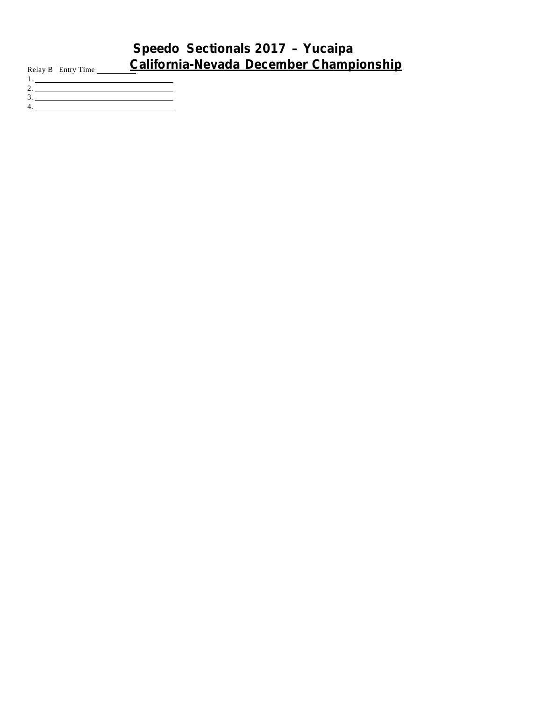## **Speedo Sectionals 2017 – Yucaipa** Relay <sup>B</sup> Entry Time **California-Nevada December Championship**

- 1.  $2.$   $\_\_$ 3.
- 4.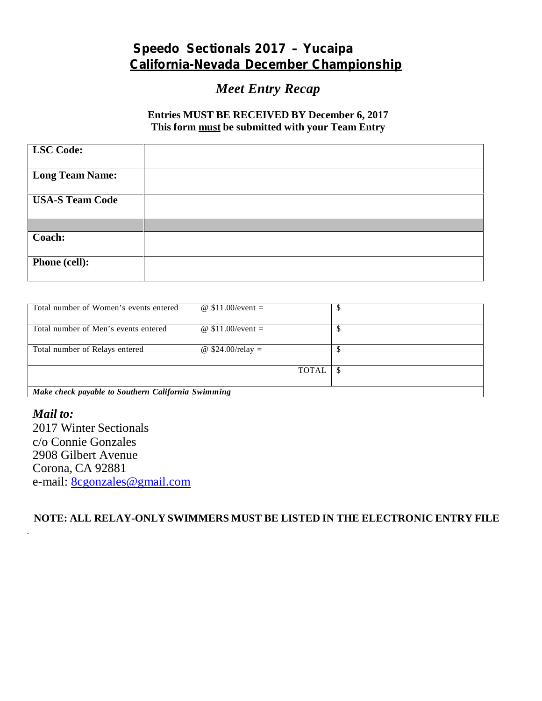## **Speedo Sectionals 2017 – Yucaipa California-Nevada December Championship**

## *Meet Entry Recap*

### **Entries MUST BE RECEIVED BY December 6, 2017 This form must be submitted with your Team Entry**

| <b>LSC Code:</b>       |  |
|------------------------|--|
| <b>Long Team Name:</b> |  |
| <b>USA-S Team Code</b> |  |
|                        |  |
| Coach:                 |  |
| Phone (cell):          |  |

| Total number of Women's events entered             | @ $$11.00/event =$  |  |  |  |  |
|----------------------------------------------------|---------------------|--|--|--|--|
| Total number of Men's events entered               | @ $$11.00/event =$  |  |  |  |  |
| Total number of Relays entered                     | @ $$24.00$ /relay = |  |  |  |  |
|                                                    | TOTAL               |  |  |  |  |
| Make check payable to Southern California Swimming |                     |  |  |  |  |

*Mail to:* 2017 Winter Sectionals c/o Connie Gonzales 2908 Gilbert Avenue Corona, CA 92881 e-mail: 8cgonzales@gmail.com

**NOTE: ALL RELAY-ONLY SWIMMERS MUST BE LISTED IN THE ELECTRONIC ENTRY FILE**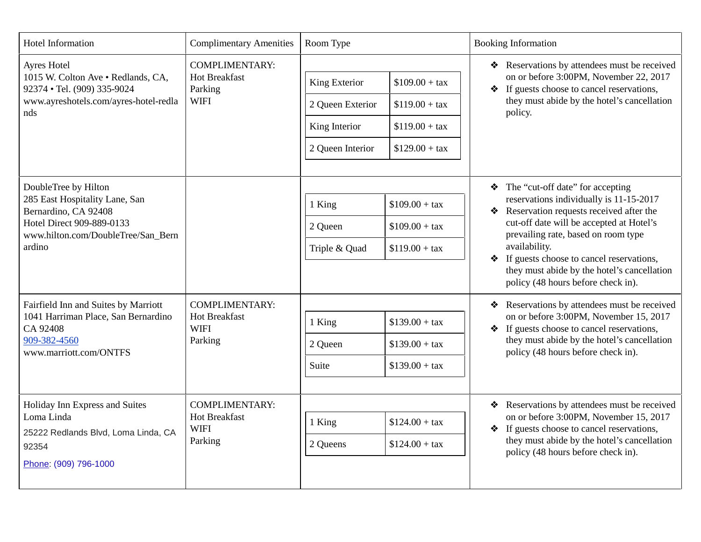| Hotel Information                                                                                                                                           | <b>Complimentary Amenities</b>                                          | Room Type                                                              |                                                                          | <b>Booking Information</b>                                                                                                                                                                                                                                                                                                                                       |
|-------------------------------------------------------------------------------------------------------------------------------------------------------------|-------------------------------------------------------------------------|------------------------------------------------------------------------|--------------------------------------------------------------------------|------------------------------------------------------------------------------------------------------------------------------------------------------------------------------------------------------------------------------------------------------------------------------------------------------------------------------------------------------------------|
| Ayres Hotel<br>1015 W. Colton Ave . Redlands, CA,<br>92374 · Tel. (909) 335-9024<br>www.ayreshotels.com/ayres-hotel-redla<br>nds                            | <b>COMPLIMENTARY:</b><br><b>Hot Breakfast</b><br>Parking<br><b>WIFI</b> | King Exterior<br>2 Queen Exterior<br>King Interior<br>2 Queen Interior | $$109.00 + tax$<br>$$119.00 + tax$<br>$$119.00 + tax$<br>$$129.00 + tax$ | * Reservations by attendees must be received<br>on or before 3:00PM, November 22, 2017<br>• If guests choose to cancel reservations,<br>they must abide by the hotel's cancellation<br>policy.                                                                                                                                                                   |
| DoubleTree by Hilton<br>285 East Hospitality Lane, San<br>Bernardino, CA 92408<br>Hotel Direct 909-889-0133<br>www.hilton.com/DoubleTree/San_Bern<br>ardino |                                                                         | 1 King<br>2 Queen<br>Triple & Quad                                     | $$109.00 + tax$<br>$$109.00 + tax$<br>$$119.00 + tax$                    | The "cut-off date" for accepting<br>reservations individually is 11-15-2017<br>Reservation requests received after the<br>cut-off date will be accepted at Hotel's<br>prevailing rate, based on room type<br>availability.<br>If guests choose to cancel reservations,<br>❖<br>they must abide by the hotel's cancellation<br>policy (48 hours before check in). |
| Fairfield Inn and Suites by Marriott<br>1041 Harriman Place, San Bernardino<br>CA 92408<br>909-382-4560<br>www.marriott.com/ONTFS                           | <b>COMPLIMENTARY:</b><br>Hot Breakfast<br><b>WIFI</b><br>Parking        | 1 King<br>2 Queen<br>Suite                                             | $$139.00 + tax$<br>$$139.00 + tax$<br>$$139.00 + tax$                    | Reservations by attendees must be received<br>❖<br>on or before 3:00PM, November 15, 2017<br>If guests choose to cancel reservations,<br>❖<br>they must abide by the hotel's cancellation<br>policy (48 hours before check in).                                                                                                                                  |
| Holiday Inn Express and Suites<br>Loma Linda<br>25222 Redlands Blvd, Loma Linda, CA<br>92354<br>Phone: (909) 796-1000                                       | <b>COMPLIMENTARY:</b><br><b>Hot Breakfast</b><br><b>WIFI</b><br>Parking | 1 King<br>2 Queens                                                     | $$124.00 + tax$<br>$$124.00 + tax$                                       | Reservations by attendees must be received<br>on or before 3:00PM, November 15, 2017<br>If guests choose to cancel reservations,<br>$\clubsuit$<br>they must abide by the hotel's cancellation<br>policy (48 hours before check in).                                                                                                                             |